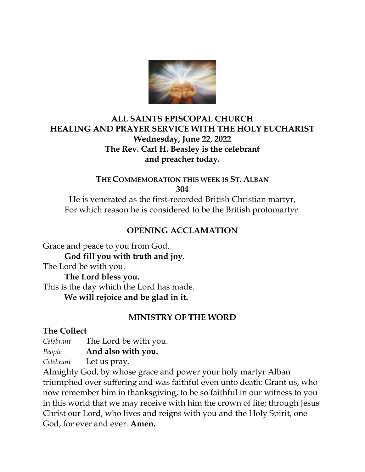

## **ALL SAINTS EPISCOPAL CHURCH HEALING AND PRAYER SERVICE WITH THE HOLY EUCHARIST Wednesday, June 22, 2022 The Rev. Carl H. Beasley is the celebrant and preacher today.**

**THE COMMEMORATION THIS WEEK IS ST. ALBAN 304**

He is venerated as the first-recorded British Christian martyr, For which reason he is considered to be the British protomartyr.

### **OPENING ACCLAMATION**

Grace and peace to you from God. **God fill you with truth and joy.** The Lord be with you. **The Lord bless you.** This is the day which the Lord has made. **We will rejoice and be glad in it.** 

### **MINISTRY OF THE WORD**

### **The Collect**

*Celebrant* The Lord be with you.

*People* **And also with you.**

*Celebrant* Let us pray.

Almighty God, by whose grace and power your holy martyr Alban triumphed over suffering and was faithful even unto death: Grant us, who now remember him in thanksgiving, to be so faithful in our witness to you in this world that we may receive with him the crown of life; through Jesus Christ our Lord, who lives and reigns with you and the Holy Spirit, one God, for ever and ever. **Amen.**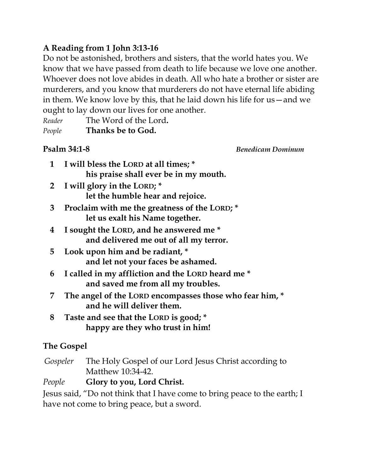# **A Reading from 1 John 3:13-16**

Do not be astonished, brothers and sisters, that the world hates you. We know that we have passed from death to life because we love one another. Whoever does not love abides in death. All who hate a brother or sister are murderers, and you know that murderers do not have eternal life abiding in them. We know love by this, that he laid down his life for us—and we ought to lay down our lives for one another.

| Thanks be to God.<br>People     |
|---------------------------------|
| The Word of the Lord.<br>Reader |

**Psalm 34:1-8** *Benedicam Dominum*

- **1 I will bless the LORD at all times; \* his praise shall ever be in my mouth.**
- **2 I will glory in the LORD; \* let the humble hear and rejoice.**
- **3 Proclaim with me the greatness of the LORD; \* let us exalt his Name together.**
- **4 I sought the LORD, and he answered me \* and delivered me out of all my terror.**
- **5 Look upon him and be radiant, \* and let not your faces be ashamed.**
- **6 I called in my affliction and the LORD heard me \* and saved me from all my troubles.**
- **7 The angel of the LORD encompasses those who fear him, \* and he will deliver them.**
- **8 Taste and see that the LORD is good; \* happy are they who trust in him!**

# **The Gospel**

 *Gospeler* The Holy Gospel of our Lord Jesus Christ according to Matthew 10:34-42.

# *People* **Glory to you, Lord Christ.**

Jesus said, "Do not think that I have come to bring peace to the earth; I have not come to bring peace, but a sword.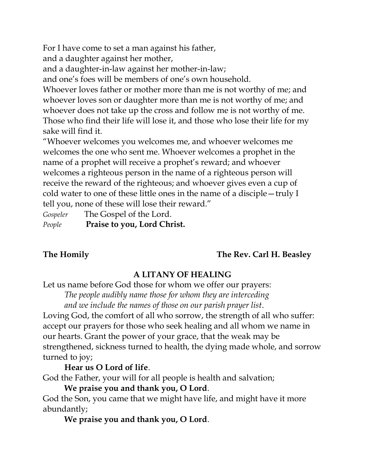For I have come to set a man against his father,

and a daughter against her mother,

and a daughter-in-law against her mother-in-law;

and one's foes will be members of one's own household.

Whoever loves father or mother more than me is not worthy of me; and whoever loves son or daughter more than me is not worthy of me; and whoever does not take up the cross and follow me is not worthy of me. Those who find their life will lose it, and those who lose their life for my sake will find it.

"Whoever welcomes you welcomes me, and whoever welcomes me welcomes the one who sent me. Whoever welcomes a prophet in the name of a prophet will receive a prophet's reward; and whoever welcomes a righteous person in the name of a righteous person will receive the reward of the righteous; and whoever gives even a cup of cold water to one of these little ones in the name of a disciple—truly I tell you, none of these will lose their reward."

*Gospeler* The Gospel of the Lord. *People* **Praise to you, Lord Christ.**

# **The Homily The Rev. Carl H. Beasley**

# **A LITANY OF HEALING**

Let us name before God those for whom we offer our prayers:

*The people audibly name those for whom they are interceding and we include the names of those on our parish prayer list*.

Loving God, the comfort of all who sorrow, the strength of all who suffer: accept our prayers for those who seek healing and all whom we name in our hearts. Grant the power of your grace, that the weak may be strengthened, sickness turned to health, the dying made whole, and sorrow turned to joy;

# **Hear us O Lord of life**.

God the Father, your will for all people is health and salvation;

### **We praise you and thank you, O Lord**.

God the Son, you came that we might have life, and might have it more abundantly;

**We praise you and thank you, O Lord**.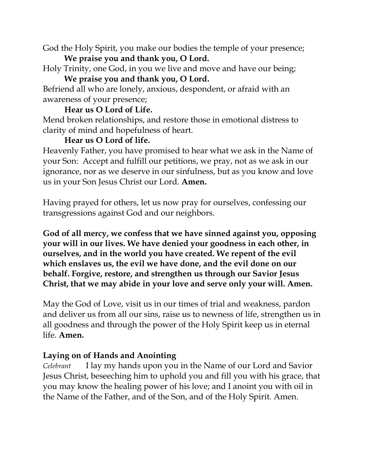God the Holy Spirit, you make our bodies the temple of your presence; **We praise you and thank you, O Lord.**

Holy Trinity, one God, in you we live and move and have our being; **We praise you and thank you, O Lord.**

Befriend all who are lonely, anxious, despondent, or afraid with an awareness of your presence;

## **Hear us O Lord of Life.**

Mend broken relationships, and restore those in emotional distress to clarity of mind and hopefulness of heart.

# **Hear us O Lord of life.**

Heavenly Father, you have promised to hear what we ask in the Name of your Son: Accept and fulfill our petitions, we pray, not as we ask in our ignorance, nor as we deserve in our sinfulness, but as you know and love us in your Son Jesus Christ our Lord. **Amen.**

Having prayed for others, let us now pray for ourselves, confessing our transgressions against God and our neighbors.

**God of all mercy, we confess that we have sinned against you, opposing your will in our lives. We have denied your goodness in each other, in ourselves, and in the world you have created. We repent of the evil which enslaves us, the evil we have done, and the evil done on our behalf. Forgive, restore, and strengthen us through our Savior Jesus Christ, that we may abide in your love and serve only your will. Amen.** 

May the God of Love, visit us in our times of trial and weakness, pardon and deliver us from all our sins, raise us to newness of life, strengthen us in all goodness and through the power of the Holy Spirit keep us in eternal life. **Amen.** 

# **Laying on of Hands and Anointing**

*Celebrant* I lay my hands upon you in the Name of our Lord and Savior Jesus Christ, beseeching him to uphold you and fill you with his grace, that you may know the healing power of his love; and I anoint you with oil in the Name of the Father, and of the Son, and of the Holy Spirit. Amen.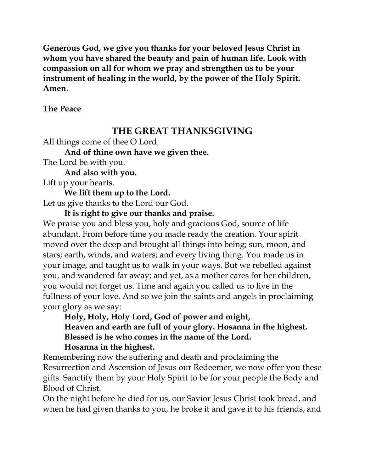**Generous God, we give you thanks for your beloved Jesus Christ in whom you have shared the beauty and pain of human life. Look with compassion on all for whom we pray and strengthen us to be your instrument of healing in the world, by the power of the Holy Spirit. Amen**.

#### **The Peace**

# **THE GREAT THANKSGIVING**

All things come of thee O Lord.

**And of thine own have we given thee.** 

The Lord be with you.

**And also with you.**

Lift up your hearts.

**We lift them up to the Lord.**

Let us give thanks to the Lord our God.

## **It is right to give our thanks and praise.**

We praise you and bless you, holy and gracious God, source of life abundant. From before time you made ready the creation. Your spirit moved over the deep and brought all things into being; sun, moon, and stars; earth, winds, and waters; and every living thing. You made us in your image, and taught us to walk in your ways. But we rebelled against you, and wandered far away; and yet, as a mother cares for her children, you would not forget us. Time and again you called us to live in the fullness of your love. And so we join the saints and angels in proclaiming your glory as we say:

**Holy, Holy, Holy Lord, God of power and might, Heaven and earth are full of your glory. Hosanna in the highest. Blessed is he who comes in the name of the Lord. Hosanna in the highest.**

Remembering now the suffering and death and proclaiming the Resurrection and Ascension of Jesus our Redeemer, we now offer you these gifts. Sanctify them by your Holy Spirit to be for your people the Body and Blood of Christ.

On the night before he died for us, our Savior Jesus Christ took bread, and when he had given thanks to you, he broke it and gave it to his friends, and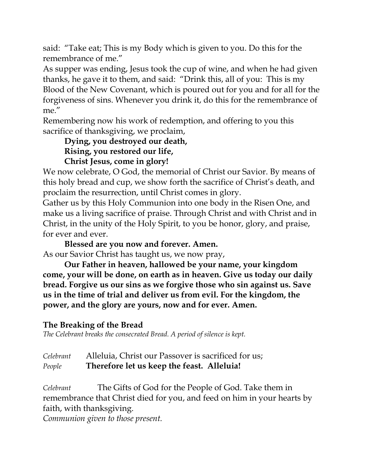said: "Take eat; This is my Body which is given to you. Do this for the remembrance of me."

As supper was ending, Jesus took the cup of wine, and when he had given thanks, he gave it to them, and said: "Drink this, all of you: This is my Blood of the New Covenant, which is poured out for you and for all for the forgiveness of sins. Whenever you drink it, do this for the remembrance of me."

Remembering now his work of redemption, and offering to you this sacrifice of thanksgiving, we proclaim,

**Dying, you destroyed our death, Rising, you restored our life, Christ Jesus, come in glory!**

We now celebrate, O God, the memorial of Christ our Savior. By means of this holy bread and cup, we show forth the sacrifice of Christ's death, and proclaim the resurrection, until Christ comes in glory.

Gather us by this Holy Communion into one body in the Risen One, and make us a living sacrifice of praise. Through Christ and with Christ and in Christ, in the unity of the Holy Spirit, to you be honor, glory, and praise, for ever and ever.

**Blessed are you now and forever. Amen.** As our Savior Christ has taught us, we now pray,

**Our Father in heaven, hallowed be your name, your kingdom come, your will be done, on earth as in heaven. Give us today our daily bread. Forgive us our sins as we forgive those who sin against us. Save us in the time of trial and deliver us from evil. For the kingdom, the power, and the glory are yours, now and for ever. Amen.**

# **The Breaking of the Bread**

*The Celebrant breaks the consecrated Bread. A period of silence is kept.* 

| Celebrant | Alleluia, Christ our Passover is sacrificed for us; |
|-----------|-----------------------------------------------------|
| People    | Therefore let us keep the feast. Alleluia!          |

*Celebrant* The Gifts of God for the People of God. Take them in remembrance that Christ died for you, and feed on him in your hearts by faith, with thanksgiving.

*Communion given to those present.*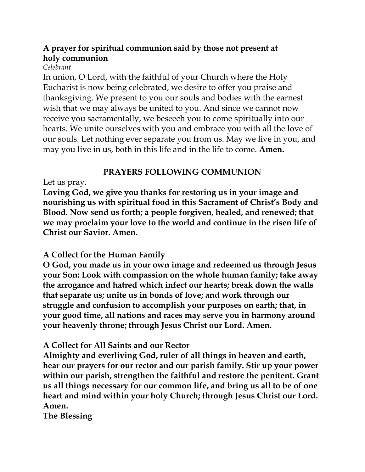# **A prayer for spiritual communion said by those not present at holy communion**

#### *Celebrant*

In union, O Lord, with the faithful of your Church where the Holy Eucharist is now being celebrated, we desire to offer you praise and thanksgiving. We present to you our souls and bodies with the earnest wish that we may always be united to you. And since we cannot now receive you sacramentally, we beseech you to come spiritually into our hearts. We unite ourselves with you and embrace you with all the love of our souls. Let nothing ever separate you from us. May we live in you, and may you live in us, both in this life and in the life to come. **Amen.**

# **PRAYERS FOLLOWING COMMUNION**

## Let us pray.

**Loving God, we give you thanks for restoring us in your image and nourishing us with spiritual food in this Sacrament of Christ's Body and Blood. Now send us forth; a people forgiven, healed, and renewed; that we may proclaim your love to the world and continue in the risen life of Christ our Savior. Amen.**

# **A Collect for the Human Family**

**O God, you made us in your own image and redeemed us through Jesus your Son: Look with compassion on the whole human family; take away the arrogance and hatred which infect our hearts; break down the walls that separate us; unite us in bonds of love; and work through our struggle and confusion to accomplish your purposes on earth; that, in your good time, all nations and races may serve you in harmony around your heavenly throne; through Jesus Christ our Lord. Amen.**

# **A Collect for All Saints and our Rector**

**Almighty and everliving God, ruler of all things in heaven and earth, hear our prayers for our rector and our parish family. Stir up your power within our parish, strengthen the faithful and restore the penitent. Grant us all things necessary for our common life, and bring us all to be of one heart and mind within your holy Church; through Jesus Christ our Lord. Amen.**

**The Blessing**